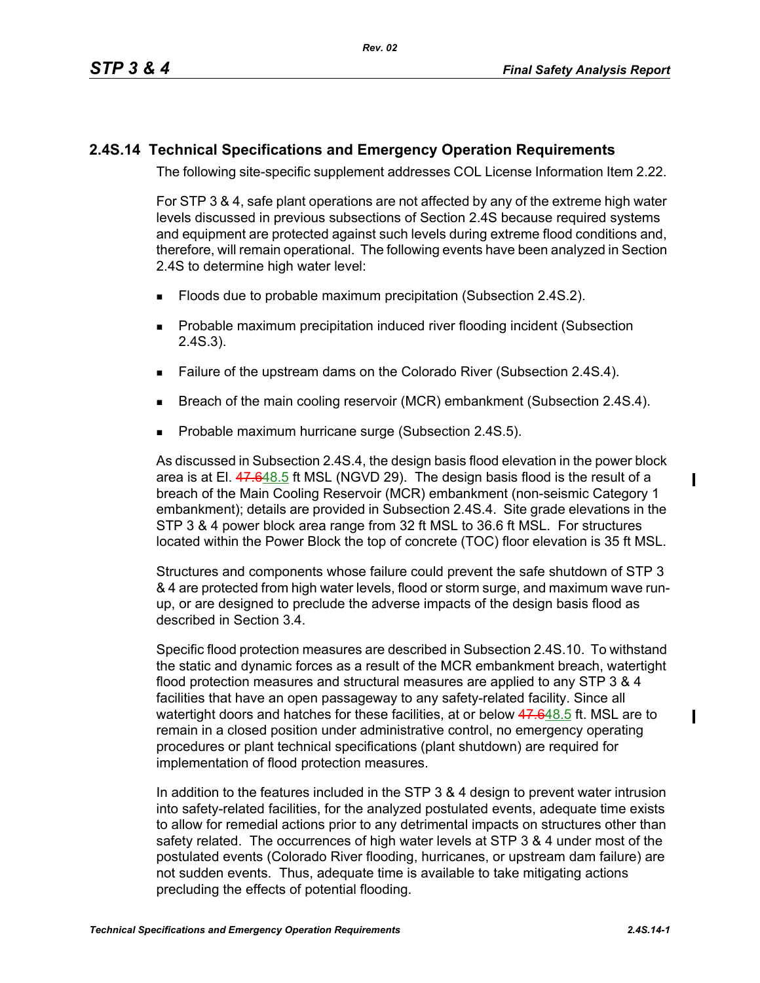## **2.4S.14 Technical Specifications and Emergency Operation Requirements**

The following site-specific supplement addresses COL License Information Item 2.22.

For STP 3 & 4, safe plant operations are not affected by any of the extreme high water levels discussed in previous subsections of Section 2.4S because required systems and equipment are protected against such levels during extreme flood conditions and, therefore, will remain operational. The following events have been analyzed in Section 2.4S to determine high water level:

- **Floods due to probable maximum precipitation (Subsection 2.4S.2).**
- **Probable maximum precipitation induced river flooding incident (Subsection** 2.4S.3).
- Failure of the upstream dams on the Colorado River (Subsection 2.4S.4).
- **Breach of the main cooling reservoir (MCR) embankment (Subsection 2.4S.4).**
- Probable maximum hurricane surge (Subsection 2.4S.5).

As discussed in Subsection 2.4S.4, the design basis flood elevation in the power block area is at El. 47.648.5 ft MSL (NGVD 29). The design basis flood is the result of a breach of the Main Cooling Reservoir (MCR) embankment (non-seismic Category 1 embankment); details are provided in Subsection 2.4S.4. Site grade elevations in the STP 3 & 4 power block area range from 32 ft MSL to 36.6 ft MSL. For structures located within the Power Block the top of concrete (TOC) floor elevation is 35 ft MSL.

Structures and components whose failure could prevent the safe shutdown of STP 3 & 4 are protected from high water levels, flood or storm surge, and maximum wave runup, or are designed to preclude the adverse impacts of the design basis flood as described in Section 3.4.

Specific flood protection measures are described in Subsection 2.4S.10. To withstand the static and dynamic forces as a result of the MCR embankment breach, watertight flood protection measures and structural measures are applied to any STP 3 & 4 facilities that have an open passageway to any safety-related facility. Since all watertight doors and hatches for these facilities, at or below 47.648.5 ft. MSL are to remain in a closed position under administrative control, no emergency operating procedures or plant technical specifications (plant shutdown) are required for implementation of flood protection measures.

In addition to the features included in the STP 3 & 4 design to prevent water intrusion into safety-related facilities, for the analyzed postulated events, adequate time exists to allow for remedial actions prior to any detrimental impacts on structures other than safety related. The occurrences of high water levels at STP 3 & 4 under most of the postulated events (Colorado River flooding, hurricanes, or upstream dam failure) are not sudden events. Thus, adequate time is available to take mitigating actions precluding the effects of potential flooding.

 $\blacksquare$